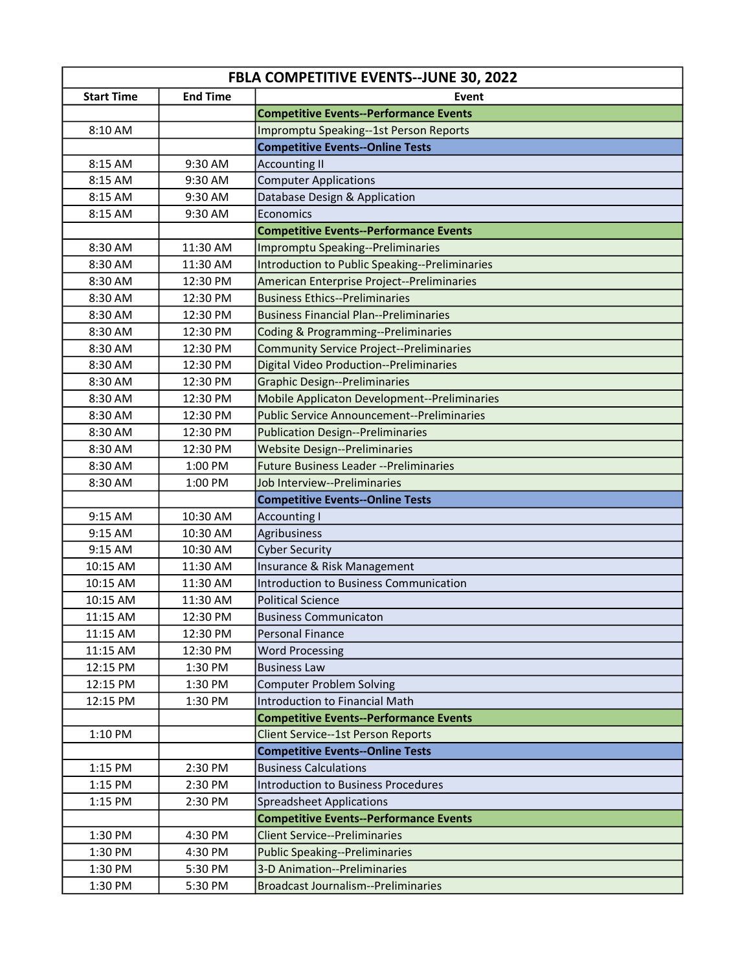| <b>FBLA COMPETITIVE EVENTS--JUNE 30, 2022</b> |                 |                                                   |  |
|-----------------------------------------------|-----------------|---------------------------------------------------|--|
| <b>Start Time</b>                             | <b>End Time</b> | Event                                             |  |
|                                               |                 | <b>Competitive Events--Performance Events</b>     |  |
| 8:10 AM                                       |                 | Impromptu Speaking--1st Person Reports            |  |
|                                               |                 | <b>Competitive Events--Online Tests</b>           |  |
| 8:15 AM                                       | 9:30 AM         | <b>Accounting II</b>                              |  |
| 8:15 AM                                       | 9:30 AM         | <b>Computer Applications</b>                      |  |
| 8:15 AM                                       | 9:30 AM         | Database Design & Application                     |  |
| 8:15 AM                                       | 9:30 AM         | Economics                                         |  |
|                                               |                 | <b>Competitive Events--Performance Events</b>     |  |
| 8:30 AM                                       | 11:30 AM        | Impromptu Speaking--Preliminaries                 |  |
| 8:30 AM                                       | 11:30 AM        | Introduction to Public Speaking--Preliminaries    |  |
| 8:30 AM                                       | 12:30 PM        | American Enterprise Project--Preliminaries        |  |
| 8:30 AM                                       | 12:30 PM        | <b>Business Ethics--Preliminaries</b>             |  |
| 8:30 AM                                       | 12:30 PM        | <b>Business Financial Plan--Preliminaries</b>     |  |
| 8:30 AM                                       | 12:30 PM        | <b>Coding &amp; Programming--Preliminaries</b>    |  |
| 8:30 AM                                       | 12:30 PM        | <b>Community Service Project--Preliminaries</b>   |  |
| 8:30 AM                                       | 12:30 PM        | <b>Digital Video Production--Preliminaries</b>    |  |
| 8:30 AM                                       | 12:30 PM        | <b>Graphic Design--Preliminaries</b>              |  |
| 8:30 AM                                       | 12:30 PM        | Mobile Applicaton Development--Preliminaries      |  |
| 8:30 AM                                       | 12:30 PM        | <b>Public Service Announcement--Preliminaries</b> |  |
| 8:30 AM                                       | 12:30 PM        | <b>Publication Design--Preliminaries</b>          |  |
| 8:30 AM                                       | 12:30 PM        | <b>Website Design--Preliminaries</b>              |  |
| 8:30 AM                                       | 1:00 PM         | <b>Future Business Leader -- Preliminaries</b>    |  |
| 8:30 AM                                       | 1:00 PM         | Job Interview--Preliminaries                      |  |
|                                               |                 | <b>Competitive Events--Online Tests</b>           |  |
| 9:15 AM                                       | 10:30 AM        | <b>Accounting I</b>                               |  |
| 9:15 AM                                       | 10:30 AM        | Agribusiness                                      |  |
| 9:15 AM                                       | 10:30 AM        | <b>Cyber Security</b>                             |  |
| 10:15 AM                                      | 11:30 AM        | Insurance & Risk Management                       |  |
| 10:15 AM                                      | 11:30 AM        | Introduction to Business Communication            |  |
| 10:15 AM                                      | 11:30 AM        | <b>Political Science</b>                          |  |
| 11:15 AM                                      | 12:30 PM        | <b>Business Communicaton</b>                      |  |
| 11:15 AM                                      | 12:30 PM        | <b>Personal Finance</b>                           |  |
| 11:15 AM                                      | 12:30 PM        | <b>Word Processing</b>                            |  |
| 12:15 PM                                      | 1:30 PM         | <b>Business Law</b>                               |  |
| 12:15 PM                                      | 1:30 PM         | Computer Problem Solving                          |  |
| 12:15 PM                                      | 1:30 PM         | <b>Introduction to Financial Math</b>             |  |
|                                               |                 | <b>Competitive Events--Performance Events</b>     |  |
| 1:10 PM                                       |                 | <b>Client Service--1st Person Reports</b>         |  |
|                                               |                 | <b>Competitive Events--Online Tests</b>           |  |
| 1:15 PM                                       | 2:30 PM         | <b>Business Calculations</b>                      |  |
| 1:15 PM                                       | 2:30 PM         | Introduction to Business Procedures               |  |
| 1:15 PM                                       | 2:30 PM         | Spreadsheet Applications                          |  |
|                                               |                 | <b>Competitive Events--Performance Events</b>     |  |
| 1:30 PM                                       | 4:30 PM         | <b>Client Service--Preliminaries</b>              |  |
| 1:30 PM                                       | 4:30 PM         | Public Speaking--Preliminaries                    |  |
| 1:30 PM                                       | 5:30 PM         | 3-D Animation--Preliminaries                      |  |
| 1:30 PM                                       | 5:30 PM         | <b>Broadcast Journalism--Preliminaries</b>        |  |